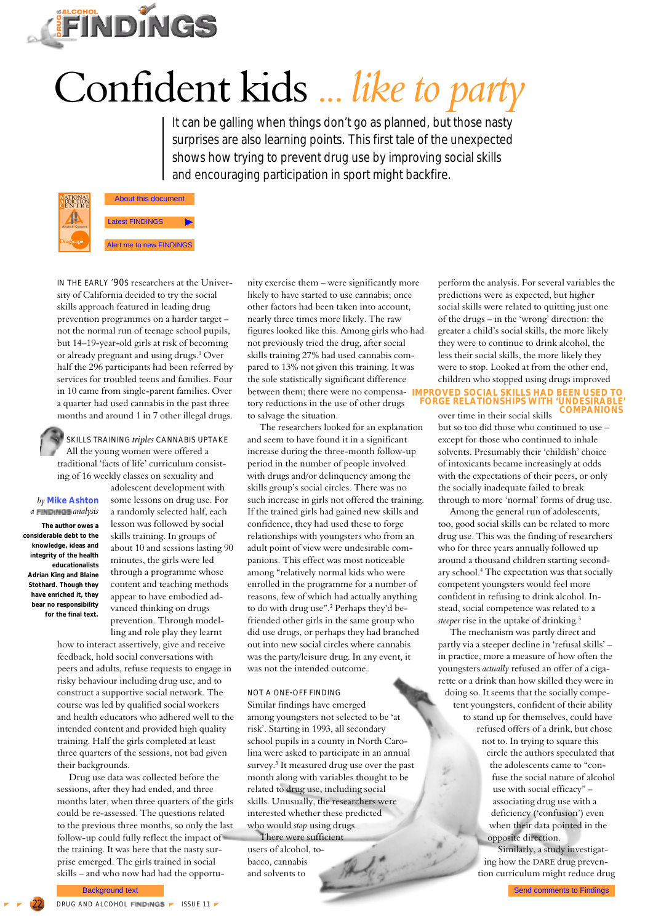

# Confident kids ... *like to party*

It can be galling when things don't go as planned, but those nasty surprises are also learning points. This first tale of the unexpected shows how trying to prevent drug use by improving social skills and encouraging participation in sport might backfire.



© **Drugtand Alcohoh Findings 1999** 

IN THE EARLY '90S researchers at the University of California decided to try the social skills approach featured in leading drug prevention programmes on a harder target – not the normal run of teenage school pupils, but 14–19-year-old girls at risk of becoming or already pregnant and using drugs.<sup>1</sup> Over half the 296 participants had been referred by services for troubled teens and families. Four in 10 came from single-parent families. Over a quarter had used cannabis in the past three months and around 1 in 7 other illegal drugs.

SKILLS TRAINING *triples* CANNABIS UPTAKE All the young women were offered a traditional 'facts of life' curriculum consisting of 16 weekly classes on sexuality and

# *by* **Mike Ashton** *a analysis*

**The author owes a considerable debt to the knowledge, ideas and integrity of the health educationalists Adrian King and Blaine Stothard. Though they have enriched it, they bear no responsibility for the final text.**

some lessons on drug use. For a randomly selected half, each lesson was followed by social skills training. In groups of about 10 and sessions lasting 90 minutes, the girls were led through a programme whose content and teaching methods appear to have embodied advanced thinking on drugs prevention. Through modelling and role play they learnt

adolescent development with

how to interact assertively, give and receive feedback, hold social conversations with peers and adults, refuse requests to engage in risky behaviour including drug use, and to construct a supportive social network. The course was led by qualified social workers and health educators who adhered well to the intended content and provided high quality training. Half the girls completed at least three quarters of the sessions, not bad given their backgrounds.

Drug use data was collected before the sessions, after they had ended, and three months later, when three quarters of the girls could be re-assessed. The questions related to the previous three months, so only the last follow-up could fully reflect the impact of the training. It was here that the nasty surprise emerged. The girls trained in social skills – and who now had had the opportu-

nity exercise them – were significantly more likely to have started to use cannabis; once other factors had been taken into account, nearly three times more likely. The raw figures looked like this. Among girls who had not previously tried the drug, after social skills training 27% had used cannabis compared to 13% not given this training. It was the sole statistically significant difference between them; there were no compensa-**IMPROVED SOCIAL SKILLS HAD BEEN USED TO** tory reductions in the use of other drugs to salvage the situation.

The researchers looked for an explanation and seem to have found it in a significant increase during the three-month follow-up period in the number of people involved with drugs and/or delinquency among the skills group's social circles. There was no such increase in girls not offered the training. If the trained girls had gained new skills and confidence, they had used these to forge relationships with youngsters who from an adult point of view were undesirable companions. This effect was most noticeable among "relatively normal kids who were enrolled in the programme for a number of reasons, few of which had actually anything to do with drug use".2 Perhaps they'd befriended other girls in the same group who did use drugs, or perhaps they had branched out into new social circles where cannabis was the party/leisure drug. In any event, it was not the intended outcome. **EXERCISION CONSULTERIES ASSOCIATES A CONSULTERIES ASSOCIATES A CONSULTERIES ARE CONSULTERIES AND CONSULTERIES ARE CONSULTERIES AND CONSULTERIES ARE CONSULTERIES AND ARE CONSULTERIES ARE CONSULTERIES ARE CONSULTERIES ARE** 

# NOT A ONE-OFF FINDING

Similar findings have emerged among youngsters not selected to be 'at risk'. Starting in 1993, all secondary school pupils in a county in North Carolina were asked to participate in an annual survey.3 It measured drug use over the past month along with variables thought to be related to drug use, including social skills. Unusually, the researchers were interested whether these predicted who would *stop* using drugs.

There were sufficient users of alcohol, tobacco, cannabis and solvents to

perform the analysis. For several variables the predictions were as expected, but higher social skills were related to quitting just one of the drugs – in the 'wrong' direction: the greater a child's social skills, the more likely they were to continue to drink alcohol, the less their social skills, the more likely they were to stop. Looked at from the other end, children who stopped using drugs improved

#### over time in their social skills **FORGE RELATIONSHIPS WITH 'UNDESIRABLE COMPANIONS'**

but so too did those who continued to use – except for those who continued to inhale solvents. Presumably their 'childish' choice of intoxicants became increasingly at odds with the expectations of their peers, or only the socially inadequate failed to break through to more 'normal' forms of drug use.

Among the general run of adolescents, too, good social skills can be related to more drug use. This was the finding of researchers who for three years annually followed up around a thousand children starting secondary school.4 The expectation was that socially competent youngsters would feel more confident in refusing to drink alcohol. Instead, social competence was related to a *steeper* rise in the uptake of drinking.5

The mechanism was partly direct and partly via a steeper decline in 'refusal skills' – in practice, more a measure of how often the youngsters *actually* refused an offer of a cigarette or a drink than how skilled they were in doing so. It seems that the socially competent youngsters, confident of their ability to stand up for themselves, could have refused offers of a drink, but chose not to. In trying to square this circle the authors speculated that the adolescents came to "confuse the social nature of alcohol use with social efficacy" – associating drug use with a deficiency ('confusion') even

when their data pointed in the opposite direction.

Similarly, a study investigating how the DARE drug prevention curriculum might reduce drug